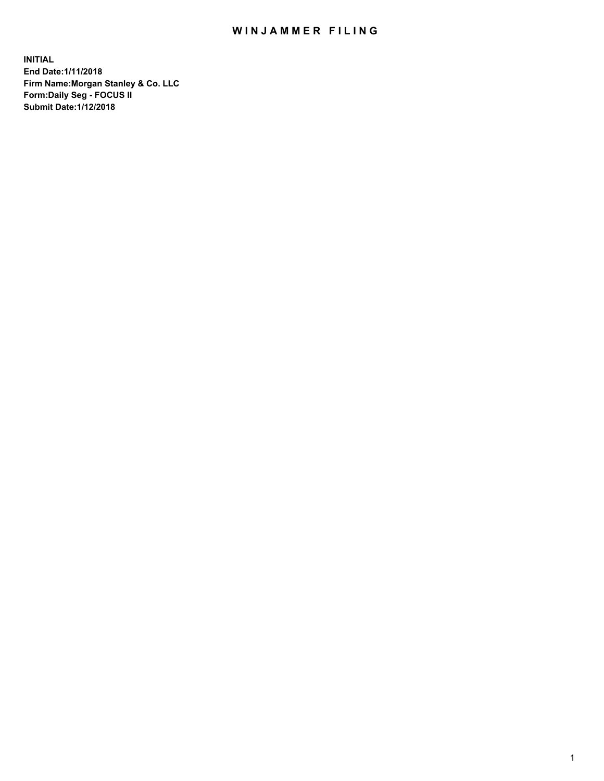## WIN JAMMER FILING

**INITIAL End Date:1/11/2018 Firm Name:Morgan Stanley & Co. LLC Form:Daily Seg - FOCUS II Submit Date:1/12/2018**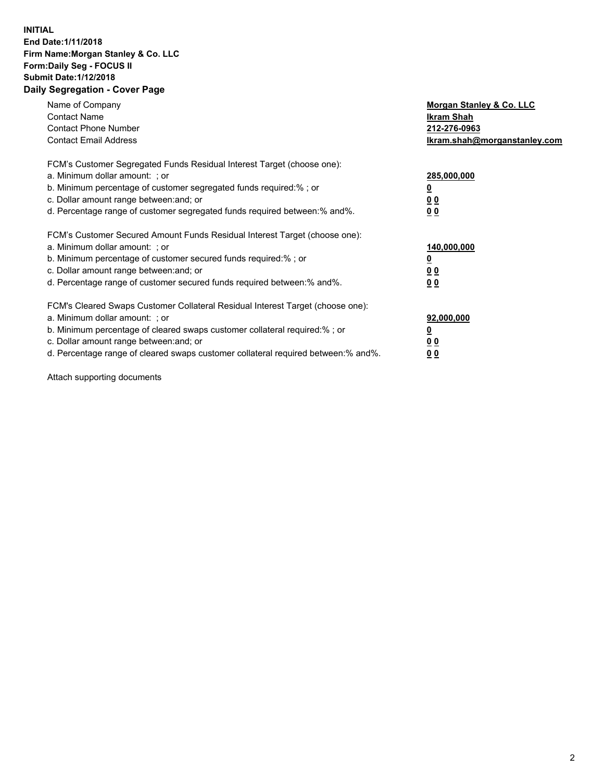## **INITIAL End Date:1/11/2018 Firm Name:Morgan Stanley & Co. LLC Form:Daily Seg - FOCUS II Submit Date:1/12/2018 Daily Segregation - Cover Page**

| Name of Company<br><b>Contact Name</b><br><b>Contact Phone Number</b><br><b>Contact Email Address</b>                                                                                                                                                                                                                          | Morgan Stanley & Co. LLC<br>Ikram Shah<br>212-276-0963<br>lkram.shah@morganstanley.com |
|--------------------------------------------------------------------------------------------------------------------------------------------------------------------------------------------------------------------------------------------------------------------------------------------------------------------------------|----------------------------------------------------------------------------------------|
| FCM's Customer Segregated Funds Residual Interest Target (choose one):<br>a. Minimum dollar amount: ; or<br>b. Minimum percentage of customer segregated funds required:%; or<br>c. Dollar amount range between: and; or<br>d. Percentage range of customer segregated funds required between: % and %.                        | 285,000,000<br>0 <sub>0</sub><br>00                                                    |
| FCM's Customer Secured Amount Funds Residual Interest Target (choose one):<br>a. Minimum dollar amount: ; or<br>b. Minimum percentage of customer secured funds required:%; or<br>c. Dollar amount range between: and; or<br>d. Percentage range of customer secured funds required between:% and%.                            | 140,000,000<br>0 <sub>0</sub><br>0 <sub>0</sub>                                        |
| FCM's Cleared Swaps Customer Collateral Residual Interest Target (choose one):<br>a. Minimum dollar amount: ; or<br>b. Minimum percentage of cleared swaps customer collateral required:% ; or<br>c. Dollar amount range between: and; or<br>d. Percentage range of cleared swaps customer collateral required between:% and%. | 92,000,000<br>0 <sub>0</sub><br>0 <sub>0</sub>                                         |

Attach supporting documents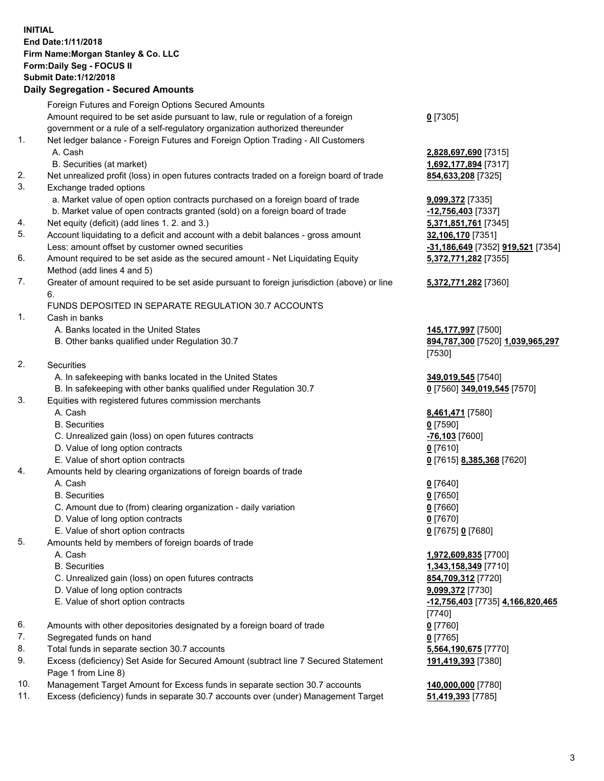## **INITIAL End Date:1/11/2018 Firm Name:Morgan Stanley & Co. LLC Form:Daily Seg - FOCUS II Submit Date:1/12/2018 Daily Segregation - Secured Amounts**

Foreign Futures and Foreign Options Secured Amounts Amount required to be set aside pursuant to law, rule or regulation of a foreign government or a rule of a self-regulatory organization authorized thereunder **0** [7305] 1. Net ledger balance - Foreign Futures and Foreign Option Trading - All Customers A. Cash **2,828,697,690** [7315] B. Securities (at market) **1,692,177,894** [7317] 2. Net unrealized profit (loss) in open futures contracts traded on a foreign board of trade **854,633,208** [7325] 3. Exchange traded options a. Market value of open option contracts purchased on a foreign board of trade **9,099,372** [7335] b. Market value of open contracts granted (sold) on a foreign board of trade **-12,756,403** [7337] 4. Net equity (deficit) (add lines 1. 2. and 3.) **5,371,851,761** [7345] 5. Account liquidating to a deficit and account with a debit balances - gross amount **32,106,170** [7351] Less: amount offset by customer owned securities **-31,186,649** [7352] **919,521** [7354] 6. Amount required to be set aside as the secured amount - Net Liquidating Equity Method (add lines 4 and 5) **5,372,771,282** [7355] 7. Greater of amount required to be set aside pursuant to foreign jurisdiction (above) or line 6. **5,372,771,282** [7360] FUNDS DEPOSITED IN SEPARATE REGULATION 30.7 ACCOUNTS 1. Cash in banks A. Banks located in the United States **145,177,997** [7500] B. Other banks qualified under Regulation 30.7 **894,787,300** [7520] **1,039,965,297** [7530] 2. Securities A. In safekeeping with banks located in the United States **349,019,545** [7540] B. In safekeeping with other banks qualified under Regulation 30.7 **0** [7560] **349,019,545** [7570] 3. Equities with registered futures commission merchants A. Cash **8,461,471** [7580] B. Securities **0** [7590] C. Unrealized gain (loss) on open futures contracts **-76,103** [7600] D. Value of long option contracts **0** [7610] E. Value of short option contracts **0** [7615] **8,385,368** [7620] 4. Amounts held by clearing organizations of foreign boards of trade A. Cash **0** [7640] B. Securities **0** [7650] C. Amount due to (from) clearing organization - daily variation **0** [7660] D. Value of long option contracts **0** [7670] E. Value of short option contracts **0** [7675] **0** [7680] 5. Amounts held by members of foreign boards of trade A. Cash **1,972,609,835** [7700] B. Securities **1,343,158,349** [7710] C. Unrealized gain (loss) on open futures contracts **854,709,312** [7720] D. Value of long option contracts **9,099,372** [7730] E. Value of short option contracts **-12,756,403** [7735] **4,166,820,465** [7740] 6. Amounts with other depositories designated by a foreign board of trade **0** [7760] 7. Segregated funds on hand **0** [7765] 8. Total funds in separate section 30.7 accounts **5,564,190,675** [7770] 9. Excess (deficiency) Set Aside for Secured Amount (subtract line 7 Secured Statement Page 1 from Line 8) **191,419,393** [7380] 10. Management Target Amount for Excess funds in separate section 30.7 accounts **140,000,000** [7780]

11. Excess (deficiency) funds in separate 30.7 accounts over (under) Management Target **51,419,393** [7785]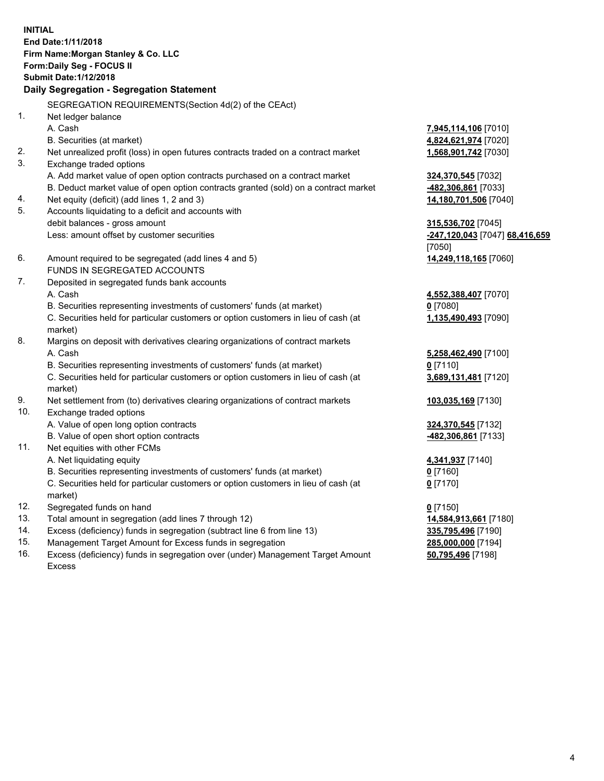**INITIAL End Date:1/11/2018 Firm Name:Morgan Stanley & Co. LLC Form:Daily Seg - FOCUS II Submit Date:1/12/2018 Daily Segregation - Segregation Statement** SEGREGATION REQUIREMENTS(Section 4d(2) of the CEAct) 1. Net ledger balance A. Cash **7,945,114,106** [7010] B. Securities (at market) **4,824,621,974** [7020] 2. Net unrealized profit (loss) in open futures contracts traded on a contract market **1,568,901,742** [7030] 3. Exchange traded options A. Add market value of open option contracts purchased on a contract market **324,370,545** [7032] B. Deduct market value of open option contracts granted (sold) on a contract market **-482,306,861** [7033] 4. Net equity (deficit) (add lines 1, 2 and 3) **14,180,701,506** [7040] 5. Accounts liquidating to a deficit and accounts with debit balances - gross amount **315,536,702** [7045] Less: amount offset by customer securities **-247,120,043** [7047] **68,416,659** [7050] 6. Amount required to be segregated (add lines 4 and 5) **14,249,118,165** [7060] FUNDS IN SEGREGATED ACCOUNTS 7. Deposited in segregated funds bank accounts A. Cash **4,552,388,407** [7070] B. Securities representing investments of customers' funds (at market) **0** [7080] C. Securities held for particular customers or option customers in lieu of cash (at market) **1,135,490,493** [7090] 8. Margins on deposit with derivatives clearing organizations of contract markets A. Cash **5,258,462,490** [7100] B. Securities representing investments of customers' funds (at market) **0** [7110] C. Securities held for particular customers or option customers in lieu of cash (at market) **3,689,131,481** [7120] 9. Net settlement from (to) derivatives clearing organizations of contract markets **103,035,169** [7130] 10. Exchange traded options A. Value of open long option contracts **324,370,545** [7132] B. Value of open short option contracts **-482,306,861** [7133] 11. Net equities with other FCMs A. Net liquidating equity **4,341,937** [7140] B. Securities representing investments of customers' funds (at market) **0** [7160] C. Securities held for particular customers or option customers in lieu of cash (at market) **0** [7170] 12. Segregated funds on hand **0** [7150] 13. Total amount in segregation (add lines 7 through 12) **14,584,913,661** [7180] 14. Excess (deficiency) funds in segregation (subtract line 6 from line 13) **335,795,496** [7190]

- 15. Management Target Amount for Excess funds in segregation **285,000,000** [7194]
- 16. Excess (deficiency) funds in segregation over (under) Management Target Amount Excess

**50,795,496** [7198]